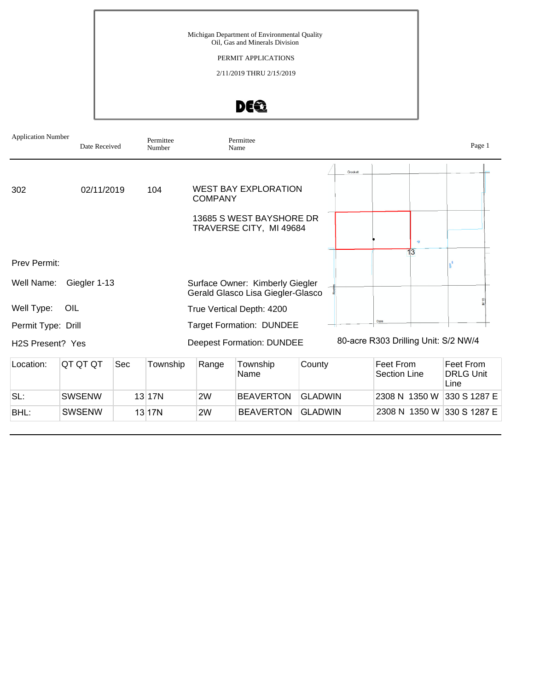### PERMIT APPLICATIONS

2/11/2019 THRU 2/15/2019



| <b>Application Number</b>     | Date Received |     | Permittee<br>Number |                | Permittee<br>Name                                                    |        |                                      |           |                 | Page 1    |
|-------------------------------|---------------|-----|---------------------|----------------|----------------------------------------------------------------------|--------|--------------------------------------|-----------|-----------------|-----------|
|                               |               |     |                     |                |                                                                      |        | Crockett                             |           |                 |           |
| 302                           | 02/11/2019    |     | 104                 | <b>COMPANY</b> | <b>WEST BAY EXPLORATION</b>                                          |        |                                      |           |                 |           |
|                               |               |     |                     |                | 13685 S WEST BAYSHORE DR<br>TRAVERSE CITY, MI 49684                  |        |                                      |           |                 |           |
|                               |               |     |                     |                |                                                                      |        |                                      |           | $\triangleleft$ |           |
| Prev Permit:                  |               |     |                     |                |                                                                      |        |                                      |           | 13              |           |
| Well Name:                    | Giegler 1-13  |     |                     |                | Surface Owner: Kimberly Giegler<br>Gerald Glasco Lisa Giegler-Glasco |        |                                      |           |                 |           |
| Well Type:                    | OIL           |     |                     |                | True Vertical Depth: 4200                                            |        |                                      |           |                 |           |
| Permit Type: Drill            |               |     |                     |                | <b>Target Formation: DUNDEE</b>                                      |        |                                      | Dale      |                 |           |
| H <sub>2</sub> S Present? Yes |               |     |                     |                | <b>Deepest Formation: DUNDEE</b>                                     |        | 80-acre R303 Drilling Unit: S/2 NW/4 |           |                 |           |
| Location:                     | QT QT QT      | Sec | Township            | Range          | Township                                                             | County |                                      | Feet From |                 | Feet From |

| Location: | IQT QT QT     | <b>Sec</b> | Township | Range | Township<br>Name | County         | Feet From<br>Section Line  | Feet From<br><b>DRLG Unit</b><br>Line |
|-----------|---------------|------------|----------|-------|------------------|----------------|----------------------------|---------------------------------------|
| SL:       | <b>SWSENW</b> |            | 13 17N   | 2W    | <b>BEAVERTON</b> | <b>GLADWIN</b> | 2308 N 1350 W 330 S 1287 E |                                       |
| BHL:      | SWSENW        |            | 13 17N   | 2W    | <b>BEAVERTON</b> | <b>GLADWIN</b> | 2308 N 1350 W 330 S 1287 E |                                       |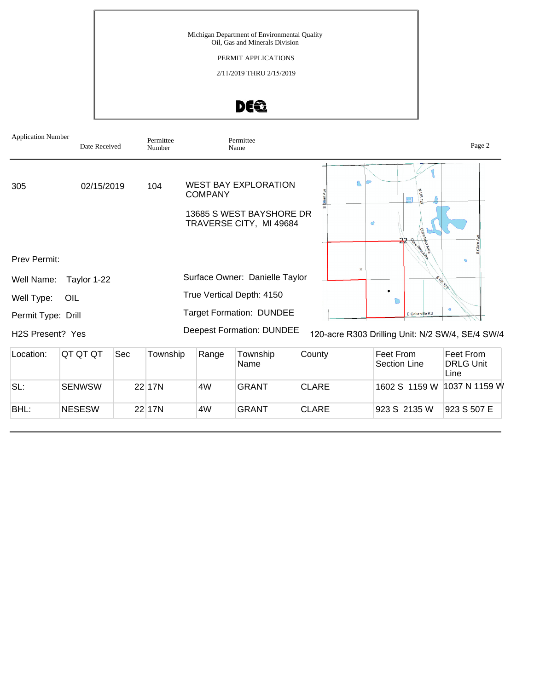PERMIT APPLICATIONS

2/11/2019 THRU 2/15/2019



| <b>Application Number</b>     | Date Received |     | Permittee<br>Number |                | Permittee<br>Name                                   |              |          |                                                  | Page 2                                |
|-------------------------------|---------------|-----|---------------------|----------------|-----------------------------------------------------|--------------|----------|--------------------------------------------------|---------------------------------------|
| 305                           | 02/15/2019    |     | 104                 | <b>COMPANY</b> | <b>WEST BAY EXPLORATION</b>                         |              |          | 모                                                |                                       |
|                               |               |     |                     |                | 13685 S WEST BAYSHORE DR<br>TRAVERSE CITY, MI 49684 |              |          | $\circ$                                          |                                       |
| <b>Prev Permit:</b>           |               |     |                     |                |                                                     |              |          |                                                  |                                       |
| Well Name:                    | Taylor 1-22   |     |                     |                | Surface Owner: Danielle Taylor                      |              | $\times$ |                                                  |                                       |
| Well Type:                    | OIL           |     |                     |                | True Vertical Depth: 4150                           |              |          |                                                  |                                       |
| Permit Type: Drill            |               |     |                     |                | <b>Target Formation: DUNDEE</b>                     |              |          | E Colonville Rd                                  | $\triangleleft$                       |
| H <sub>2</sub> S Present? Yes |               |     |                     |                | <b>Deepest Formation: DUNDEE</b>                    |              |          | 120-acre R303 Drilling Unit: N/2 SW/4, SE/4 SW/4 |                                       |
| Location:                     | QT QT QT      | Sec | Township            | Range          | Township<br>Name                                    | County       |          | Feet From<br><b>Section Line</b>                 | Feet From<br><b>DRLG Unit</b><br>Line |
| SL:                           | <b>SENWSW</b> |     | 22 17N              | 4W             | <b>GRANT</b>                                        | <b>CLARE</b> |          | 1602 S 1159 W                                    | 1037 N 1159 W                         |
| BHL:                          | <b>NESESW</b> |     | 22 17N              | 4W             | <b>GRANT</b>                                        | <b>CLARE</b> |          | 923 S 2135 W                                     | 923 S 507 E                           |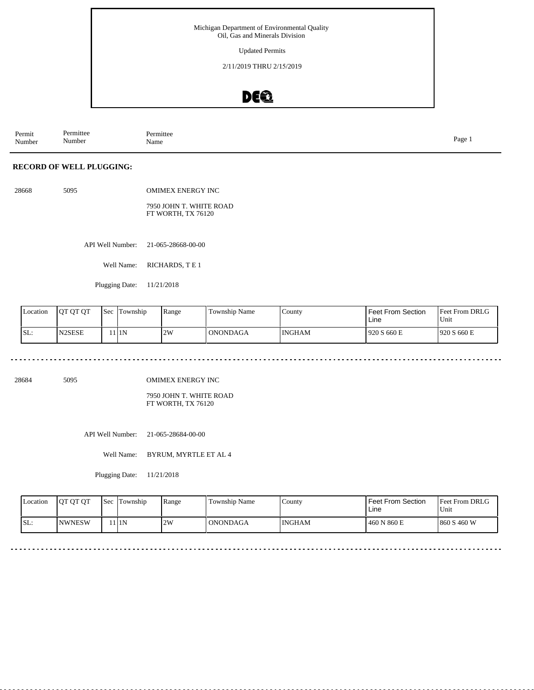Updated Permits

2/11/2019 THRU 2/15/2019

# DE®

Permit Number Permittee Number Permittee<br>Name Name Page 1

#### **RECORD OF WELL PLUGGING:**

| 28668 | 5095 | <b>OMIMEX ENERGY INC</b>                      |
|-------|------|-----------------------------------------------|
|       |      | 7950 JOHN T. WHITE ROAD<br>FT WORTH, TX 76120 |

API Well Number: 21-065-28668-00-00

Well Name: RICHARDS, TE1

Plugging Date: 11/21/2018

| Location | IOT OT OT           | <b>Sec</b> | Township | Range | Township Name   | County        | Feet From Section<br>Line | <b>Feet From DRLG</b><br>'Unit |
|----------|---------------------|------------|----------|-------|-----------------|---------------|---------------------------|--------------------------------|
| SL:      | N <sub>2</sub> SESE |            | 111N     | 2W    | <b>ONONDAGA</b> | <b>INGHAM</b> | 920 S 660 E               | 1920 S 660 E                   |

. . . . . . . . . . . . . . . . . . . . . . . . . . . . . . . . . . . . 

28684 5095

OMIMEX ENERGY INC

7950 JOHN T. WHITE ROAD FT WORTH, TX 76120

API Well Number: 21-065-28684-00-00

Well Name: BYRUM, MYRTLE ET AL 4

Plugging Date: 11/21/2018

| <b>Location</b> | <b>OT OT OT</b> | <b>Sec</b> | Township | Range | <b>Township Name</b> | County        | Feet From Section<br>Line | Feet From DRLG<br>Unit |
|-----------------|-----------------|------------|----------|-------|----------------------|---------------|---------------------------|------------------------|
| ISL:            | <b>INWNESW</b>  |            | 1 I 1 N  | 2W    | l ONONDAGA           | <b>INGHAM</b> | 460 N 860 E               | 1860 S 460 W           |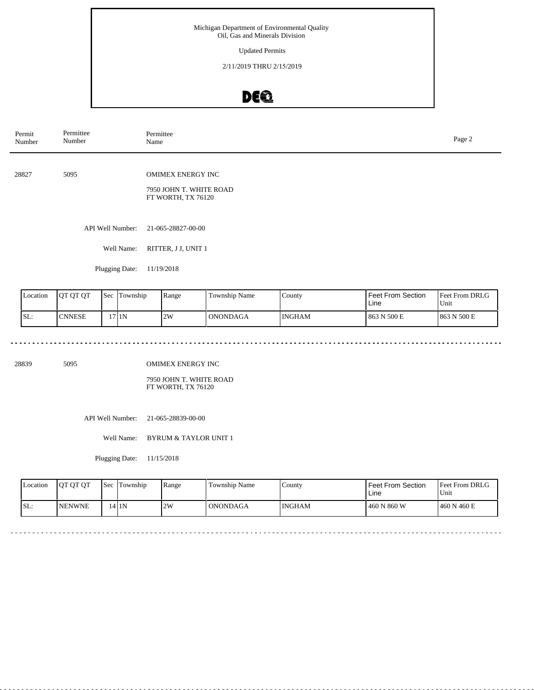Updated Permits

2/11/2019 THRU 2/15/2019

# DE®

| Permit<br>Number | Permittee<br>Number | Permittee<br>Page 2<br>Name                                               |  |  |  |  |  |
|------------------|---------------------|---------------------------------------------------------------------------|--|--|--|--|--|
| 28827            | 5095                | <b>OMIMEX ENERGY INC</b><br>7950 JOHN T. WHITE ROAD<br>FT WORTH, TX 76120 |  |  |  |  |  |
|                  | API Well Number:    | 21-065-28827-00-00                                                        |  |  |  |  |  |
|                  | Well Name:          | RITTER, J J, UNIT 1                                                       |  |  |  |  |  |
|                  | Plugging Date:      | 11/19/2018                                                                |  |  |  |  |  |
|                  |                     |                                                                           |  |  |  |  |  |

| Location | IOT OT OT     | 'Sec | Township | Range | Township Name   | County        | Feet From Section<br>Line | <b>Feet From DRLG</b><br>Unit |
|----------|---------------|------|----------|-------|-----------------|---------------|---------------------------|-------------------------------|
| ISL:     | <b>CNNESE</b> |      | 7 I 1 N  | 2W    | <b>ONONDAGA</b> | <b>INGHAM</b> | 863 N 500 E               | 1863 N 500 E                  |

28839 5095

OMIMEX ENERGY INC

7950 JOHN T. WHITE ROAD FT WORTH, TX 76120

API Well Number: 21-065-28839-00-00

Well Name: BYRUM & TAYLOR UNIT 1

Plugging Date: 11/15/2018

| Location | <b>IOT OT OT</b> | <b>Sec</b> | Township | Range | Township Name   | County | Feet From Section<br>Line | <b>Feet From DRLG</b><br>Unit |
|----------|------------------|------------|----------|-------|-----------------|--------|---------------------------|-------------------------------|
| SL:      | <b>NENWNE</b>    |            | 14 IN    | 12W   | <b>ONONDAGA</b> | INGHAM | 460 N 860 W               | 460 N 460 E                   |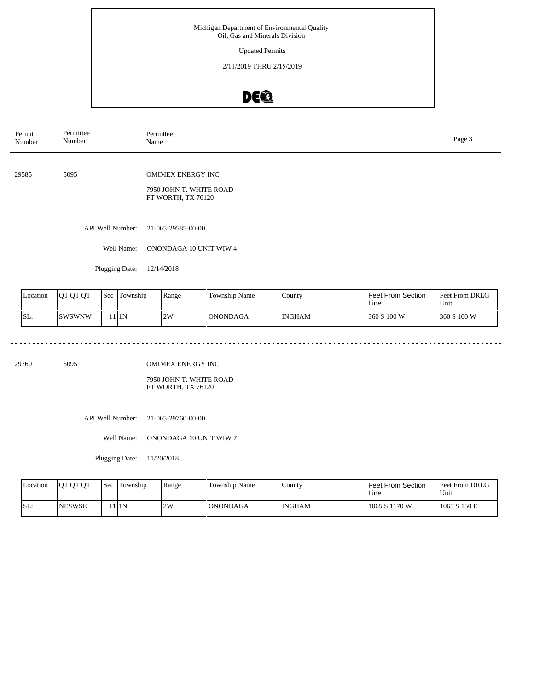Updated Permits

2/11/2019 THRU 2/15/2019

# DE®

| Permit<br>Number | Permittee<br>Number | Permittee<br>Page 3<br>Name                                               |  |  |  |  |  |
|------------------|---------------------|---------------------------------------------------------------------------|--|--|--|--|--|
| 29585            | 5095                | <b>OMIMEX ENERGY INC</b><br>7950 JOHN T. WHITE ROAD<br>FT WORTH, TX 76120 |  |  |  |  |  |
|                  | API Well Number:    | 21-065-29585-00-00                                                        |  |  |  |  |  |
|                  | Well Name:          | ONONDAGA 10 UNIT WIW 4                                                    |  |  |  |  |  |
|                  | Plugging Date:      | 12/14/2018                                                                |  |  |  |  |  |
|                  |                     |                                                                           |  |  |  |  |  |

| Location | <b>IOT OT OT</b> | 'Sec | Township | Range | Township Name   | County        | <b>Feet From Section</b><br>Line | <b>Feet From DRLG</b><br>Unit |
|----------|------------------|------|----------|-------|-----------------|---------------|----------------------------------|-------------------------------|
| ISL:     | <b>SWSWNW</b>    |      | 111N     | 2W    | <b>ONONDAGA</b> | <b>INGHAM</b> | 360 S 100 W                      | 1360 S 100 W                  |

<u>. . . . . . . . . . . . .</u>

29760 5095

OMIMEX ENERGY INC

 $\sim$   $\sim$   $\sim$ 

7950 JOHN T. WHITE ROAD FT WORTH, TX 76120

API Well Number: 21-065-29760-00-00

Well Name: ONONDAGA 10 UNIT WIW 7

Plugging Date: 11/20/2018

| <b>Location</b> | <b>OT OT OT</b> | <b>Sec</b> | Township | Range | Township Name   | County | Feet From Section<br>Line | <b>Feet From DRLG</b><br>Unit |
|-----------------|-----------------|------------|----------|-------|-----------------|--------|---------------------------|-------------------------------|
| SL:             | <b>INESWSE</b>  |            | 11 I N   | 2W    | <b>ONONDAGA</b> | INGHAM | 1065 S 1170 W             | 1065 S 150 E                  |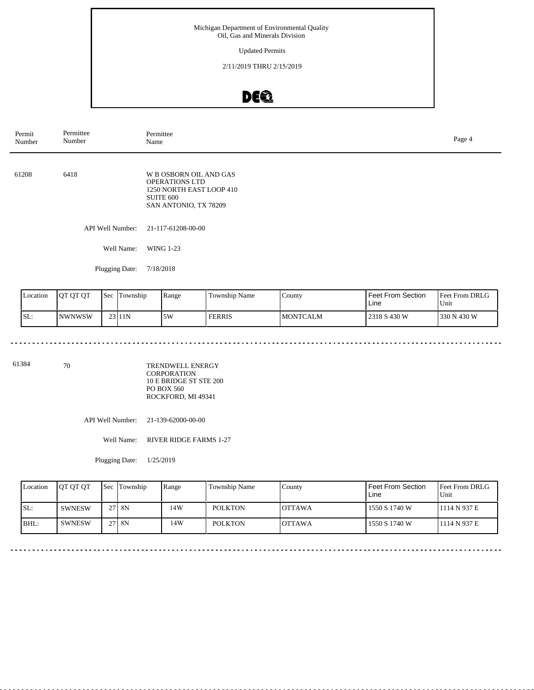Updated Permits

2/11/2019 THRU 2/15/2019

# DE®

| Permit<br>Number | Permittee<br>Number | Permittee<br>Name                                                                                                        | Page 4 |
|------------------|---------------------|--------------------------------------------------------------------------------------------------------------------------|--------|
| 61208            | 6418                | <b>W B OSBORN OIL AND GAS</b><br><b>OPERATIONS LTD</b><br>1250 NORTH EAST LOOP 410<br>SUITE 600<br>SAN ANTONIO, TX 78209 |        |
|                  | API Well Number:    | 21-117-61208-00-00                                                                                                       |        |
|                  | Well Name:          | <b>WING 1-23</b>                                                                                                         |        |

Plugging Date: 7/18/2018

| Location | <b>IOT OT OT</b> | <b>Sec</b> | Township  | Range | Township Name | County           | <b>Feet From Section</b><br>Line | <b>Feet From DRLG</b><br>'Unit |
|----------|------------------|------------|-----------|-------|---------------|------------------|----------------------------------|--------------------------------|
| ISL:     | INWNWSW          |            | $23$  11N | 5W    | <b>FERRIS</b> | <b>IMONTCALM</b> | 2318 S 430 W                     | 330 N 430 W                    |

 $\sim$   $\sim$   $\sim$ 

 $\sim$   $\sim$ 

. . . . . . . . . . . . . .

61384 70

<u>. . . . . . . . .</u>

TRENDWELL ENERGY CORPORATION 10 E BRIDGE ST STE 200 PO BOX 560 ROCKFORD, MI 49341

API Well Number: 21-139-62000-00-00

Well Name: RIVER RIDGE FARMS 1-27

Plugging Date: 1/25/2019

| Location | <b>IOT OT OT</b> |                 | <b>Sec Township</b> | Range | Township Name  | County         | l Feet From Section<br>Line | <b>Feet From DRLG</b><br>Unit |
|----------|------------------|-----------------|---------------------|-------|----------------|----------------|-----------------------------|-------------------------------|
| SL:      | <b>SWNESW</b>    | 27 <sub>1</sub> | 8N                  | 14W   | <b>POLKTON</b> | IOTTAWA        | 1550 S 1740 W               | 1114 N 937 E                  |
| BHL      | <b>SWNESW</b>    |                 | 27 8 N              | 14W   | <b>POLKTON</b> | <b>IOTTAWA</b> | 1550 S 1740 W               | 1114 N 937 E                  |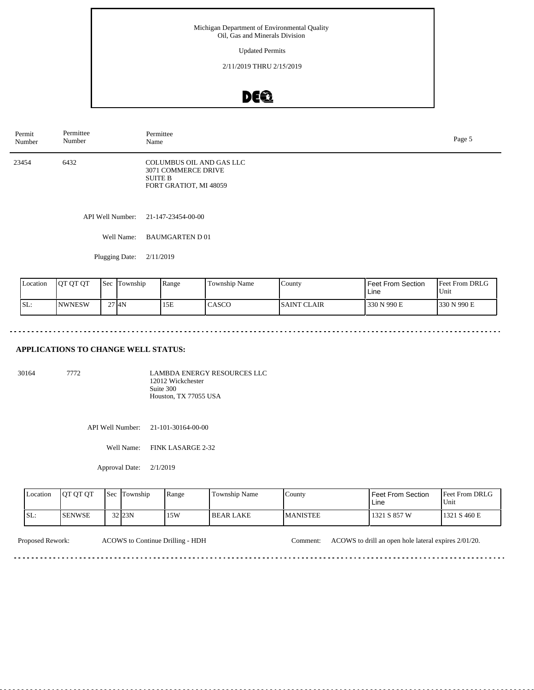Updated Permits

2/11/2019 THRU 2/15/2019

### DEQ

| Permit<br>Number | Permittee<br>Number | Permittee<br>Name                                                                           | Page 5 |
|------------------|---------------------|---------------------------------------------------------------------------------------------|--------|
| 23454            | 6432                | COLUMBUS OIL AND GAS LLC<br>3071 COMMERCE DRIVE<br><b>SUITE B</b><br>FORT GRATIOT, MI 48059 |        |
|                  |                     | API Well Number: 21-147-23454-00-00                                                         |        |
|                  | Well Name:          | <b>BAUMGARTEN D01</b>                                                                       |        |
|                  | Plugging Date:      | 2/11/2019                                                                                   |        |

| Location | <b>OT OT OT</b> | Sec | Township           | Range | <b>Township Name</b> | County             | Feet From Section<br>Line | <b>Feet From DRLG</b><br>Unit |
|----------|-----------------|-----|--------------------|-------|----------------------|--------------------|---------------------------|-------------------------------|
| SL:      | <b>NWNESW</b>   |     | $27$ <sub>4N</sub> | 15E   | CASCO                | <b>SAINT CLAIR</b> | 330 N 990 E               | 330 N 990 E                   |

#### **APPLICATIONS TO CHANGE WELL STATUS:**

| 30164 | 7772. | LAMBDA ENERGY RESOURCES LLC |
|-------|-------|-----------------------------|
|       |       |                             |
|       |       | 12012 Wickchester           |
|       |       | Suite 300                   |
|       |       | Houston, TX 77055 USA       |
|       |       |                             |

API Well Number: 21-101-30164-00-00

Well Name: FINK LASARGE 2-32

Approval Date: 2/1/2019

| Location | <b>JOT OT OT</b> | <b>Sec</b> | <b>Township</b>     | Range | Township Name    | County           | l Feet From Section<br>Line | <b>Feet From DRLG</b><br>Unit |
|----------|------------------|------------|---------------------|-------|------------------|------------------|-----------------------------|-------------------------------|
| SL:      | <b>ISENWSE</b>   |            | $32$ <sub>23N</sub> | 15W   | <b>BEAR LAKE</b> | <b>IMANISTEE</b> | 1321 S 857 W                | 1321 S 460 E                  |

Proposed Rework: ACOWS to Continue Drilling - HDH Comment: ACOWS to drill an open hole lateral expires 2/01/20.

................................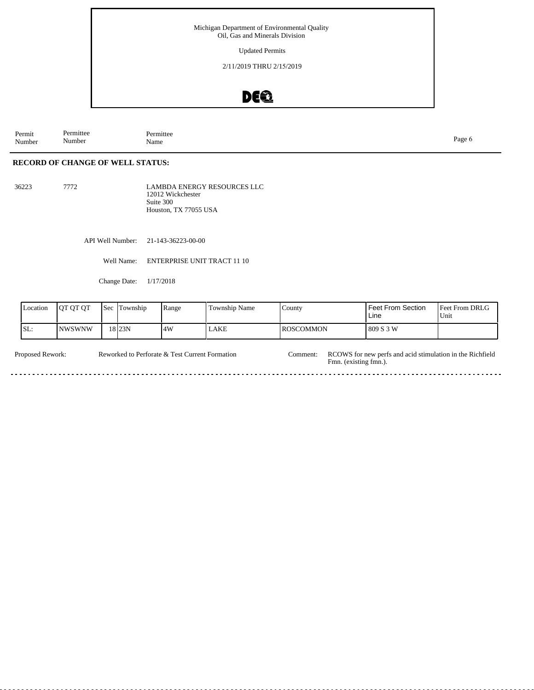Updated Permits

2/11/2019 THRU 2/15/2019

# DE®

Permit Number Permittee Number Permittee<br>Name Name Page 6

#### **RECORD OF CHANGE OF WELL STATUS:**

36223 7772

LAMBDA ENERGY RESOURCES LLC 12012 Wickchester Suite 300 Houston, TX 77055 USA

API Well Number: 21-143-36223-00-00

Well Name: ENTERPRISE UNIT TRACT 11 10

Change Date: 1/17/2018

| Location | IOT OT OT     | Sec | Township | Range | Township Name | County     | <b>Feet From Section</b><br>Line | Feet From DRLG<br>Unit |
|----------|---------------|-----|----------|-------|---------------|------------|----------------------------------|------------------------|
| ISL:     | <b>NWSWNW</b> |     | 18 I23N  | 4W    | LAKE          | IROSCOMMON | 809 S 3 W                        |                        |

Reworked to Perforate & Test Current Formation Comment: Proposed Rework: Reworked to Perforate & Test Current Formation Comment: RCOWS for new perfs and acid stimulation in the Richfield Fmn. (existing fmn.). <u>. . . . . . .</u>  $- - - - -$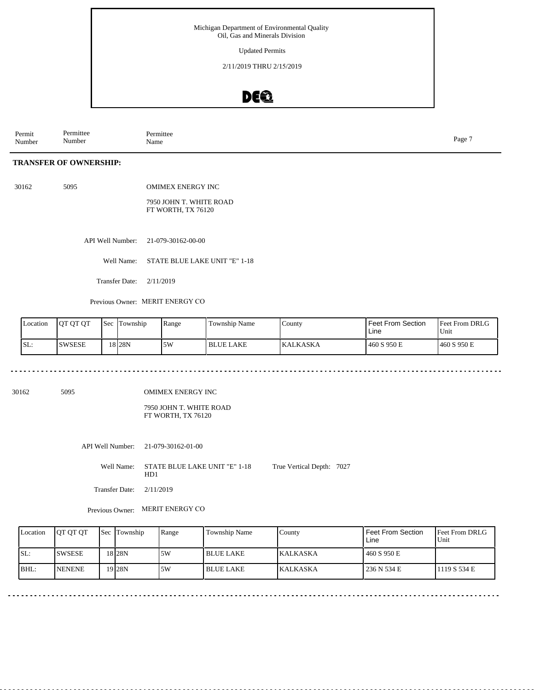Updated Permits

2/11/2019 THRU 2/15/2019

### DEQ

Permit Number Permittee Number Permittee<br>Name Name Page 7

#### **TRANSFER OF OWNERSHIP:**

30162 5095

OMIMEX ENERGY INC

7950 JOHN T. WHITE ROAD FT WORTH, TX 76120

API Well Number: 21-079-30162-00-00

Well Name: STATE BLUE LAKE UNIT "E" 1-18

Transfer Date: 2/11/2019

Previous Owner: MERIT ENERGY CO

| Location | 10T OT OT | <sup>1</sup> Sec | Township  | Range | Township Name    | County           | Feet From Section<br>Line | Feet From DRLG<br>'Unit |
|----------|-----------|------------------|-----------|-------|------------------|------------------|---------------------------|-------------------------|
| SL:      | ISWSESE   |                  | 18 I 28 N | 5W    | <b>BLUE LAKE</b> | <b>IKALKASKA</b> | 460 S 950 E               | 460 S 950 E             |

#### . . . . . . . . . . . . . . . . . .

30162 5095

OMIMEX ENERGY INC

7950 JOHN T. WHITE ROAD FT WORTH, TX 76120

API Well Number: 21-079-30162-01-00

Well Name: STATE BLUE LAKE UNIT "E" 1-18 HD1 True Vertical Depth: 7027

Transfer Date: 2/11/2019

Previous Owner: MERIT ENERGY CO

| Location | <b>OT OT OT</b> | <b>Sec Township</b> | Range | Township Name    | County          | Feet From Section<br>Line | <b>Feet From DRLG</b><br>Unit |
|----------|-----------------|---------------------|-------|------------------|-----------------|---------------------------|-------------------------------|
| SL:      | <b>SWSESE</b>   | 18 I 28 N           | .5W   | <b>BLUE LAKE</b> | <b>KALKASKA</b> | 460 S 950 E               |                               |
| BHL:     | <b>NENENE</b>   | 19 28N              | 5W    | <b>BLUE LAKE</b> | <b>KALKASKA</b> | 236 N 534 E               | 1119 S 534 E                  |